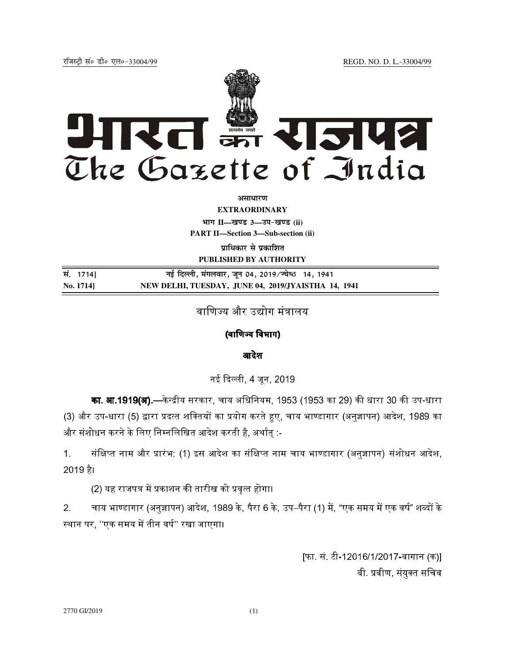jftLVªh laö Mhö ,yö&33004@99 REGD. NO. D. L.-33004/99



**असाधारण** 

**EXTRAORDINARY**

**Hkkx II—[k.M 3—mi&[k.M (ii)**

**PART II—Section 3—Sub-section (ii)** 

**प्राधिकार से प्रकाशित PUBLISHED BY AUTHORITY**

**la- 1714] ubZ fnYyh] eaxyokj] t wu 04] 2019@T;s**"B **14] 1941 No. 1714] NEW DELHI, TUESDAY, JUNE 04, 2019/JYAISTHA 14, 1941**

वाणिज्य और उद्योग मंत्रालय

## (वाणिज्य विभाग)

आदेश

नई दिल्ली. 4 जन. 2019

**का. आ.1919(अ).**—केन्द्रीय सरकार. चाय अधिनियम. 1953 (1953 का 29) की धारा 30 की उप-धारा (3) और उप-धारा (5) द्वारा प्रदत्त शक्तियों का प्रयोग करते हुए. चाय भाण्डागार (अनज्ञापन) आदेश. 1989 का और संशोधन करने के लिए निम्नलिखित आदेश करती है, अर्थात् :-

1. संक्षिप्त नाम और प्रारंभ: (1) इस आदेश का संक्षिप्त नाम चाय भाण्डागार (अनज्ञापन) संशोधन आदेश. 2019 है।

(2) यह राजपत्र में प्रकाशन की तारीख को प्रवृत्त होगा।

2. चाय भाण्डागार (अनज्ञापन) आदेश, 1989 के. पैरा 6 के. उप–पैरा (1) में. "एक समय में एक वर्ष" शब्दों के स्थान पर, ''एक समय में तीन वर्ष'' रखा जाएगा।

> [फा. सं. टी-12016/1/2017-बागान (क)] बी. प्रवीण, संयुक्त सचिव